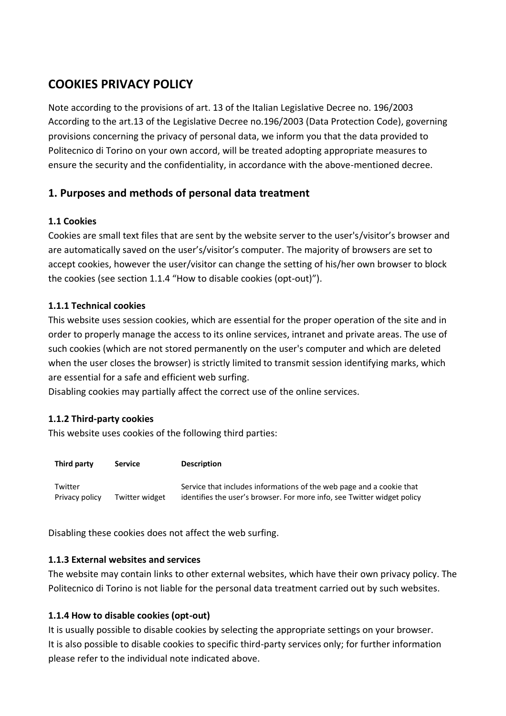# **COOKIES PRIVACY POLICY**

Note according to the provisions of art. 13 of the Italian Legislative Decree no. 196/2003 According to the art.13 of the Legislative Decree no.196/2003 (Data Protection Code), governing provisions concerning the privacy of personal data, we inform you that the data provided to Politecnico di Torino on your own accord, will be treated adopting appropriate measures to ensure the security and the confidentiality, in accordance with the above-mentioned decree.

## **1. Purposes and methods of personal data treatment**

### **1.1 Cookies**

Cookies are small text files that are sent by the website server to the user's/visitor's browser and are automatically saved on the user's/visitor's computer. The majority of browsers are set to accept cookies, however the user/visitor can change the setting of his/her own browser to block the cookies (see section 1.1.4 "How to disable cookies (opt-out)").

#### **1.1.1 Technical cookies**

This website uses session cookies, which are essential for the proper operation of the site and in order to properly manage the access to its online services, intranet and private areas. The use of such cookies (which are not stored permanently on the user's computer and which are deleted when the user closes the browser) is strictly limited to transmit session identifying marks, which are essential for a safe and efficient web surfing.

Disabling cookies may partially affect the correct use of the online services.

#### **1.1.2 Third-party cookies**

This website uses cookies of the following third parties:

| Third party               | <b>Service</b> | <b>Description</b>                                                                                                                              |
|---------------------------|----------------|-------------------------------------------------------------------------------------------------------------------------------------------------|
| Twitter<br>Privacy policy | Twitter widget | Service that includes informations of the web page and a cookie that<br>identifies the user's browser. For more info, see Twitter widget policy |

Disabling these cookies does not affect the web surfing.

#### **1.1.3 External websites and services**

The website may contain links to other external websites, which have their own privacy policy. The Politecnico di Torino is not liable for the personal data treatment carried out by such websites.

#### **1.1.4 How to disable cookies (opt-out)**

It is usually possible to disable cookies by selecting the appropriate settings on your browser. It is also possible to disable cookies to specific third-party services only; for further information please refer to the individual note indicated above.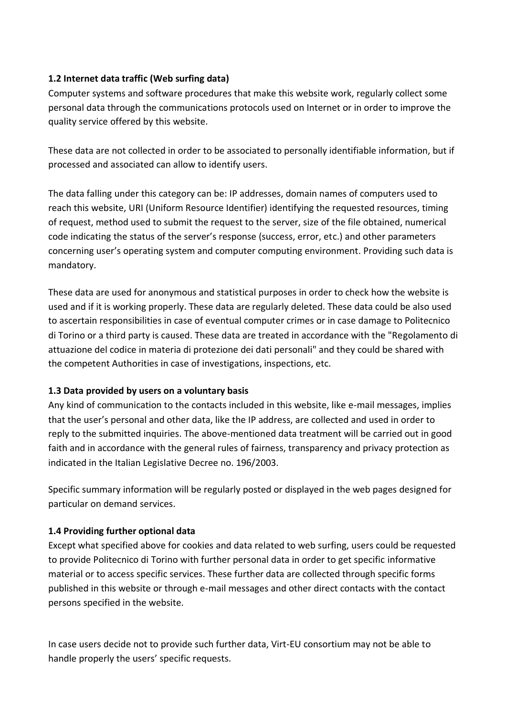#### **1.2 Internet data traffic (Web surfing data)**

Computer systems and software procedures that make this website work, regularly collect some personal data through the communications protocols used on Internet or in order to improve the quality service offered by this website.

These data are not collected in order to be associated to personally identifiable information, but if processed and associated can allow to identify users.

The data falling under this category can be: IP addresses, domain names of computers used to reach this website, URI (Uniform Resource Identifier) identifying the requested resources, timing of request, method used to submit the request to the server, size of the file obtained, numerical code indicating the status of the server's response (success, error, etc.) and other parameters concerning user's operating system and computer computing environment. Providing such data is mandatory.

These data are used for anonymous and statistical purposes in order to check how the website is used and if it is working properly. These data are regularly deleted. These data could be also used to ascertain responsibilities in case of eventual computer crimes or in case damage to Politecnico di Torino or a third party is caused. These data are treated in accordance with the "Regolamento di attuazione del codice in materia di protezione dei dati personali" and they could be shared with the competent Authorities in case of investigations, inspections, etc.

#### **1.3 Data provided by users on a voluntary basis**

Any kind of communication to the contacts included in this website, like e-mail messages, implies that the user's personal and other data, like the IP address, are collected and used in order to reply to the submitted inquiries. The above-mentioned data treatment will be carried out in good faith and in accordance with the general rules of fairness, transparency and privacy protection as indicated in the Italian Legislative Decree no. 196/2003.

Specific summary information will be regularly posted or displayed in the web pages designed for particular on demand services.

#### **1.4 Providing further optional data**

Except what specified above for cookies and data related to web surfing, users could be requested to provide Politecnico di Torino with further personal data in order to get specific informative material or to access specific services. These further data are collected through specific forms published in this website or through e-mail messages and other direct contacts with the contact persons specified in the website.

In case users decide not to provide such further data, Virt-EU consortium may not be able to handle properly the users' specific requests.